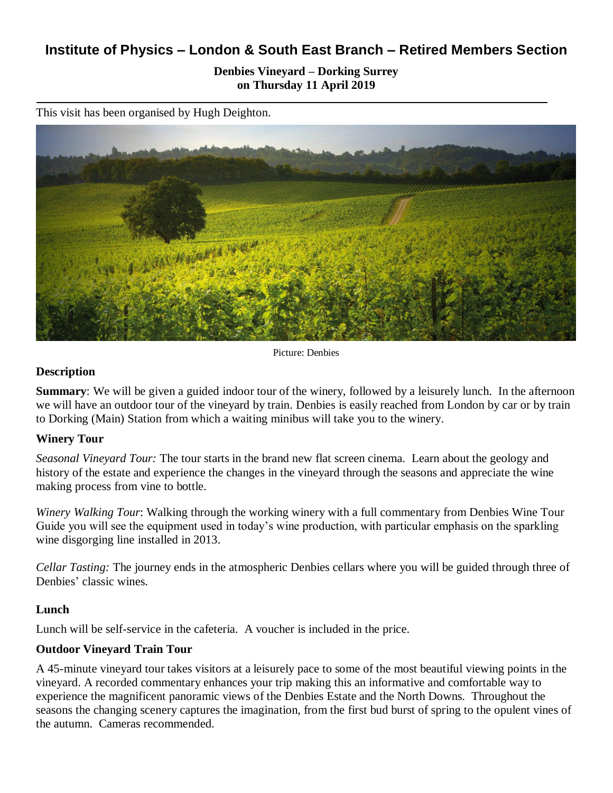# **Institute of Physics – London & South East Branch – Retired Members Section**

**Denbies Vineyard – Dorking Surrey on Thursday 11 April 2019**

This visit has been organised by Hugh Deighton.



Picture: Denbies

#### **Description**

**Summary**: We will be given a guided indoor tour of the winery, followed by a leisurely lunch. In the afternoon we will have an outdoor tour of the vineyard by train. Denbies is easily reached from London by car or by train to Dorking (Main) Station from which a waiting minibus will take you to the winery.

#### **Winery Tour**

*Seasonal Vineyard Tour:* The tour starts in the brand new flat screen cinema. Learn about the geology and history of the estate and experience the changes in the vineyard through the seasons and appreciate the wine making process from vine to bottle.

*Winery Walking Tour*: Walking through the working winery with a full commentary from Denbies Wine Tour Guide you will see the equipment used in today's wine production, with particular emphasis on the sparkling wine disgorging line installed in 2013.

*Cellar Tasting:* The journey ends in the atmospheric Denbies cellars where you will be guided through three of Denbies' classic wines.

#### **Lunch**

Lunch will be self-service in the cafeteria. A voucher is included in the price.

#### **Outdoor Vineyard Train Tour**

A 45-minute vineyard tour takes visitors at a leisurely pace to some of the most beautiful viewing points in the vineyard. A recorded commentary enhances your trip making this an informative and comfortable way to experience the magnificent panoramic views of the Denbies Estate and the North Downs. Throughout the seasons the changing scenery captures the imagination, from the first bud burst of spring to the opulent vines of the autumn. Cameras recommended.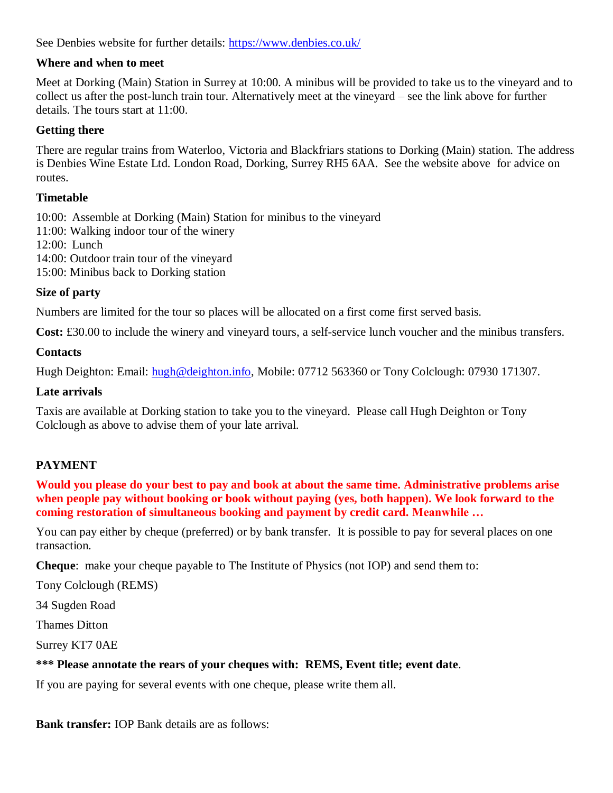See Denbies website for further details:<https://www.denbies.co.uk/>

#### **Where and when to meet**

Meet at Dorking (Main) Station in Surrey at 10:00. A minibus will be provided to take us to the vineyard and to collect us after the post-lunch train tour. Alternatively meet at the vineyard – see the link above for further details. The tours start at 11:00.

## **Getting there**

There are regular trains from Waterloo, Victoria and Blackfriars stations to Dorking (Main) station. The address is Denbies Wine Estate Ltd. London Road, Dorking, Surrey RH5 6AA. See the website above for advice on routes.

#### **Timetable**

10:00: Assemble at Dorking (Main) Station for minibus to the vineyard

11:00: Walking indoor tour of the winery

12:00: Lunch

14:00: Outdoor train tour of the vineyard

15:00: Minibus back to Dorking station

## **Size of party**

Numbers are limited for the tour so places will be allocated on a first come first served basis.

**Cost:** £30.00 to include the winery and vineyard tours, a self-service lunch voucher and the minibus transfers.

## **Contacts**

Hugh Deighton: Email: [hugh@deighton.info,](mailto:hugh@deighton.info) Mobile: 07712 563360 or Tony Colclough: 07930 171307.

#### **Late arrivals**

Taxis are available at Dorking station to take you to the vineyard. Please call Hugh Deighton or Tony Colclough as above to advise them of your late arrival.

# **PAYMENT**

**Would you please do your best to pay and book at about the same time. Administrative problems arise when people pay without booking or book without paying (yes, both happen). We look forward to the coming restoration of simultaneous booking and payment by credit card. Meanwhile …**

You can pay either by cheque (preferred) or by bank transfer. It is possible to pay for several places on one transaction.

**Cheque**: make your cheque payable to The Institute of Physics (not IOP) and send them to:

Tony Colclough (REMS)

34 Sugden Road

Thames Ditton

Surrey KT7 0AE

# **\*\*\* Please annotate the rears of your cheques with: REMS, Event title; event date**.

If you are paying for several events with one cheque, please write them all.

**Bank transfer:** IOP Bank details are as follows: